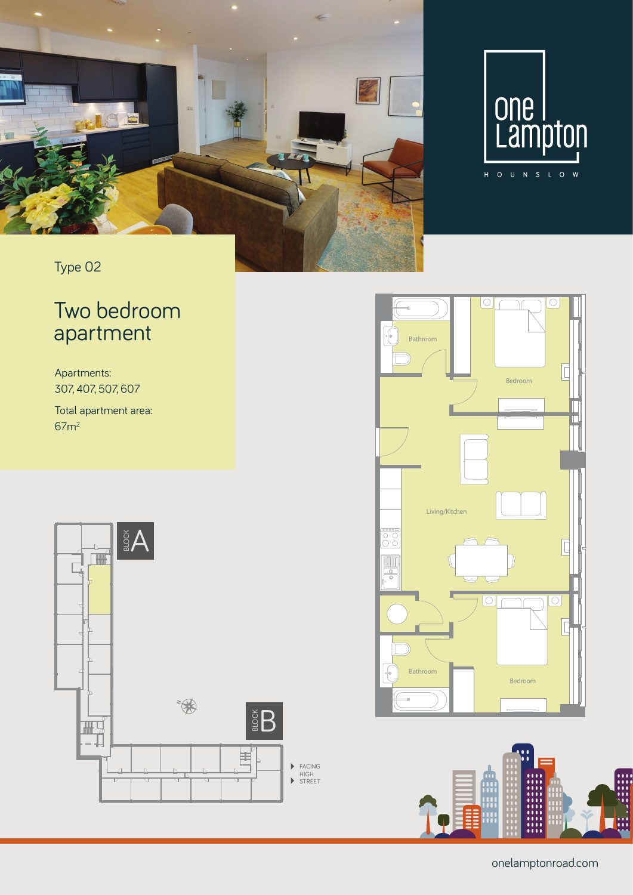



Type 02

## Two bedroom apartment

Apartments: 307, 407, 507, 607

Total apartment area: 67m2







onelamptonroad.com